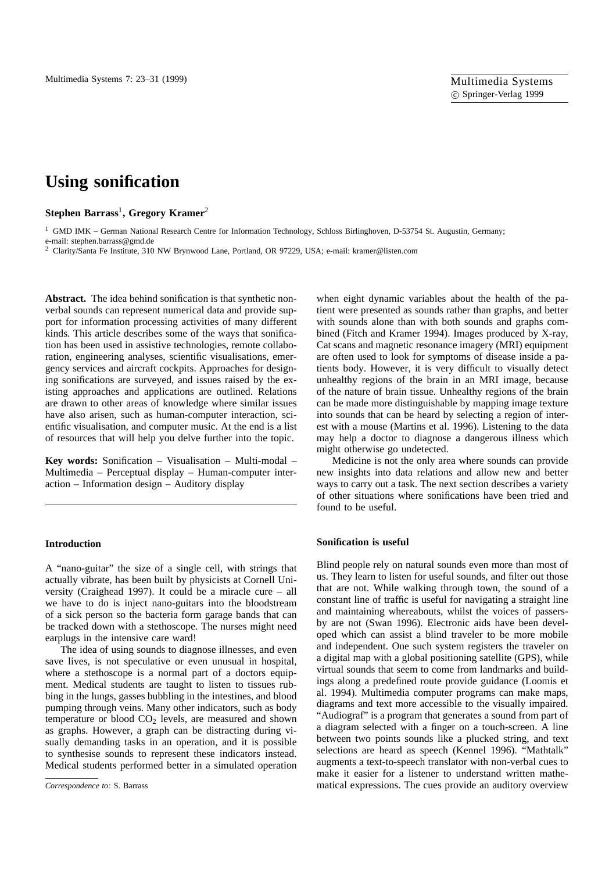# **Using sonification**

## **Stephen Barrass**<sup>1</sup>**, Gregory Kramer**<sup>2</sup>

<sup>1</sup> GMD IMK – German National Research Centre for Information Technology, Schloss Birlinghoven, D-53754 St. Augustin, Germany; e-mail: stephen.barrass@gmd.de

<sup>2</sup> Clarity/Santa Fe Institute, 310 NW Brynwood Lane, Portland, OR 97229, USA; e-mail: kramer@listen.com

**Abstract.** The idea behind sonification is that synthetic nonverbal sounds can represent numerical data and provide support for information processing activities of many different kinds. This article describes some of the ways that sonification has been used in assistive technologies, remote collaboration, engineering analyses, scientific visualisations, emergency services and aircraft cockpits. Approaches for designing sonifications are surveyed, and issues raised by the existing approaches and applications are outlined. Relations are drawn to other areas of knowledge where similar issues have also arisen, such as human-computer interaction, scientific visualisation, and computer music. At the end is a list of resources that will help you delve further into the topic.

**Key words:** Sonification – Visualisation – Multi-modal – Multimedia – Perceptual display – Human-computer interaction – Information design – Auditory display

# **Introduction**

A "nano-guitar" the size of a single cell, with strings that actually vibrate, has been built by physicists at Cornell University (Craighead 1997). It could be a miracle cure – all we have to do is inject nano-guitars into the bloodstream of a sick person so the bacteria form garage bands that can be tracked down with a stethoscope. The nurses might need earplugs in the intensive care ward!

The idea of using sounds to diagnose illnesses, and even save lives, is not speculative or even unusual in hospital, where a stethoscope is a normal part of a doctors equipment. Medical students are taught to listen to tissues rubbing in the lungs, gasses bubbling in the intestines, and blood pumping through veins. Many other indicators, such as body temperature or blood  $CO<sub>2</sub>$  levels, are measured and shown as graphs. However, a graph can be distracting during visually demanding tasks in an operation, and it is possible to synthesise sounds to represent these indicators instead. Medical students performed better in a simulated operation

*Correspondence to*: S. Barrass

when eight dynamic variables about the health of the patient were presented as sounds rather than graphs, and better with sounds alone than with both sounds and graphs combined (Fitch and Kramer 1994). Images produced by X-ray, Cat scans and magnetic resonance imagery (MRI) equipment are often used to look for symptoms of disease inside a patients body. However, it is very difficult to visually detect unhealthy regions of the brain in an MRI image, because of the nature of brain tissue. Unhealthy regions of the brain can be made more distinguishable by mapping image texture into sounds that can be heard by selecting a region of interest with a mouse (Martins et al. 1996). Listening to the data may help a doctor to diagnose a dangerous illness which might otherwise go undetected.

Medicine is not the only area where sounds can provide new insights into data relations and allow new and better ways to carry out a task. The next section describes a variety of other situations where sonifications have been tried and found to be useful.

## **Sonification is useful**

Blind people rely on natural sounds even more than most of us. They learn to listen for useful sounds, and filter out those that are not. While walking through town, the sound of a constant line of traffic is useful for navigating a straight line and maintaining whereabouts, whilst the voices of passersby are not (Swan 1996). Electronic aids have been developed which can assist a blind traveler to be more mobile and independent. One such system registers the traveler on a digital map with a global positioning satellite (GPS), while virtual sounds that seem to come from landmarks and buildings along a predefined route provide guidance (Loomis et al. 1994). Multimedia computer programs can make maps, diagrams and text more accessible to the visually impaired. "Audiograf" is a program that generates a sound from part of a diagram selected with a finger on a touch-screen. A line between two points sounds like a plucked string, and text selections are heard as speech (Kennel 1996). "Mathtalk" augments a text-to-speech translator with non-verbal cues to make it easier for a listener to understand written mathematical expressions. The cues provide an auditory overview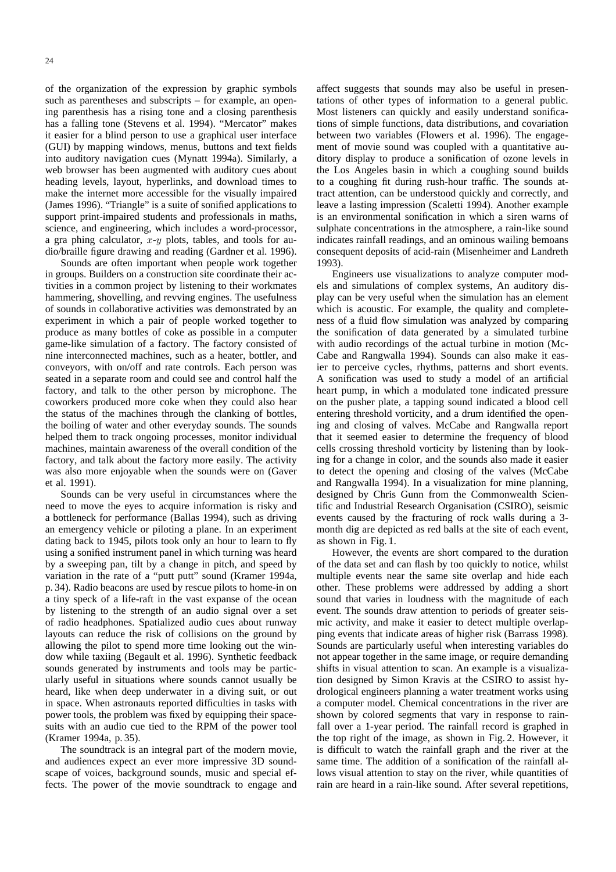of the organization of the expression by graphic symbols such as parentheses and subscripts – for example, an opening parenthesis has a rising tone and a closing parenthesis has a falling tone (Stevens et al. 1994). "Mercator" makes it easier for a blind person to use a graphical user interface (GUI) by mapping windows, menus, buttons and text fields into auditory navigation cues (Mynatt 1994a). Similarly, a web browser has been augmented with auditory cues about heading levels, layout, hyperlinks, and download times to make the internet more accessible for the visually impaired (James 1996). "Triangle" is a suite of sonified applications to support print-impaired students and professionals in maths, science, and engineering, which includes a word-processor, a gra phing calculator,  $x-y$  plots, tables, and tools for audio/braille figure drawing and reading (Gardner et al. 1996).

Sounds are often important when people work together in groups. Builders on a construction site coordinate their activities in a common project by listening to their workmates hammering, shovelling, and revving engines. The usefulness of sounds in collaborative activities was demonstrated by an experiment in which a pair of people worked together to produce as many bottles of coke as possible in a computer game-like simulation of a factory. The factory consisted of nine interconnected machines, such as a heater, bottler, and conveyors, with on/off and rate controls. Each person was seated in a separate room and could see and control half the factory, and talk to the other person by microphone. The coworkers produced more coke when they could also hear the status of the machines through the clanking of bottles, the boiling of water and other everyday sounds. The sounds helped them to track ongoing processes, monitor individual machines, maintain awareness of the overall condition of the factory, and talk about the factory more easily. The activity was also more enjoyable when the sounds were on (Gaver et al. 1991).

Sounds can be very useful in circumstances where the need to move the eyes to acquire information is risky and a bottleneck for performance (Ballas 1994), such as driving an emergency vehicle or piloting a plane. In an experiment dating back to 1945, pilots took only an hour to learn to fly using a sonified instrument panel in which turning was heard by a sweeping pan, tilt by a change in pitch, and speed by variation in the rate of a "putt putt" sound (Kramer 1994a, p. 34). Radio beacons are used by rescue pilots to home-in on a tiny speck of a life-raft in the vast expanse of the ocean by listening to the strength of an audio signal over a set of radio headphones. Spatialized audio cues about runway layouts can reduce the risk of collisions on the ground by allowing the pilot to spend more time looking out the window while taxiing (Begault et al. 1996). Synthetic feedback sounds generated by instruments and tools may be particularly useful in situations where sounds cannot usually be heard, like when deep underwater in a diving suit, or out in space. When astronauts reported difficulties in tasks with power tools, the problem was fixed by equipping their spacesuits with an audio cue tied to the RPM of the power tool (Kramer 1994a, p. 35).

The soundtrack is an integral part of the modern movie, and audiences expect an ever more impressive 3D soundscape of voices, background sounds, music and special effects. The power of the movie soundtrack to engage and affect suggests that sounds may also be useful in presentations of other types of information to a general public. Most listeners can quickly and easily understand sonifications of simple functions, data distributions, and covariation between two variables (Flowers et al. 1996). The engagement of movie sound was coupled with a quantitative auditory display to produce a sonification of ozone levels in the Los Angeles basin in which a coughing sound builds to a coughing fit during rush-hour traffic. The sounds attract attention, can be understood quickly and correctly, and leave a lasting impression (Scaletti 1994). Another example is an environmental sonification in which a siren warns of sulphate concentrations in the atmosphere, a rain-like sound indicates rainfall readings, and an ominous wailing bemoans consequent deposits of acid-rain (Misenheimer and Landreth 1993).

Engineers use visualizations to analyze computer models and simulations of complex systems, An auditory display can be very useful when the simulation has an element which is acoustic. For example, the quality and completeness of a fluid flow simulation was analyzed by comparing the sonification of data generated by a simulated turbine with audio recordings of the actual turbine in motion (Mc-Cabe and Rangwalla 1994). Sounds can also make it easier to perceive cycles, rhythms, patterns and short events. A sonification was used to study a model of an artificial heart pump, in which a modulated tone indicated pressure on the pusher plate, a tapping sound indicated a blood cell entering threshold vorticity, and a drum identified the opening and closing of valves. McCabe and Rangwalla report that it seemed easier to determine the frequency of blood cells crossing threshold vorticity by listening than by looking for a change in color, and the sounds also made it easier to detect the opening and closing of the valves (McCabe and Rangwalla 1994). In a visualization for mine planning, designed by Chris Gunn from the Commonwealth Scientific and Industrial Research Organisation (CSIRO), seismic events caused by the fracturing of rock walls during a 3 month dig are depicted as red balls at the site of each event, as shown in Fig. 1.

However, the events are short compared to the duration of the data set and can flash by too quickly to notice, whilst multiple events near the same site overlap and hide each other. These problems were addressed by adding a short sound that varies in loudness with the magnitude of each event. The sounds draw attention to periods of greater seismic activity, and make it easier to detect multiple overlapping events that indicate areas of higher risk (Barrass 1998). Sounds are particularly useful when interesting variables do not appear together in the same image, or require demanding shifts in visual attention to scan. An example is a visualization designed by Simon Kravis at the CSIRO to assist hydrological engineers planning a water treatment works using a computer model. Chemical concentrations in the river are shown by colored segments that vary in response to rainfall over a 1-year period. The rainfall record is graphed in the top right of the image, as shown in Fig. 2. However, it is difficult to watch the rainfall graph and the river at the same time. The addition of a sonification of the rainfall allows visual attention to stay on the river, while quantities of rain are heard in a rain-like sound. After several repetitions,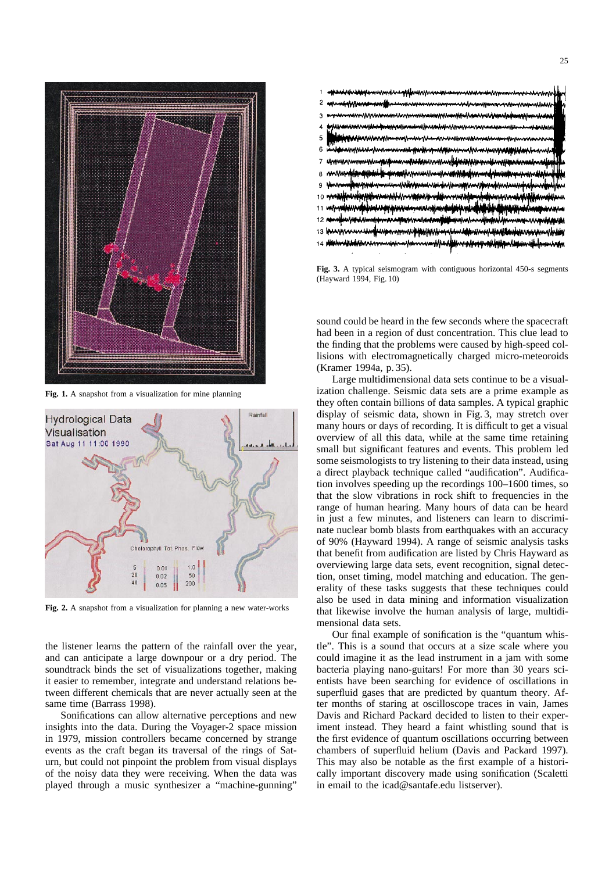

**Fig. 1.** A snapshot from a visualization for mine planning



**Fig. 2.** A snapshot from a visualization for planning a new water-works

the listener learns the pattern of the rainfall over the year, and can anticipate a large downpour or a dry period. The soundtrack binds the set of visualizations together, making it easier to remember, integrate and understand relations between different chemicals that are never actually seen at the same time (Barrass 1998).

Sonifications can allow alternative perceptions and new insights into the data. During the Voyager-2 space mission in 1979, mission controllers became concerned by strange events as the craft began its traversal of the rings of Saturn, but could not pinpoint the problem from visual displays of the noisy data they were receiving. When the data was played through a music synthesizer a "machine-gunning"



**Fig. 3.** A typical seismogram with contiguous horizontal 450-s segments (Hayward 1994, Fig. 10)

sound could be heard in the few seconds where the spacecraft had been in a region of dust concentration. This clue lead to the finding that the problems were caused by high-speed collisions with electromagnetically charged micro-meteoroids (Kramer 1994a, p. 35).

Large multidimensional data sets continue to be a visualization challenge. Seismic data sets are a prime example as they often contain billions of data samples. A typical graphic display of seismic data, shown in Fig. 3, may stretch over many hours or days of recording. It is difficult to get a visual overview of all this data, while at the same time retaining small but significant features and events. This problem led some seismologists to try listening to their data instead, using a direct playback technique called "audification". Audification involves speeding up the recordings 100–1600 times, so that the slow vibrations in rock shift to frequencies in the range of human hearing. Many hours of data can be heard in just a few minutes, and listeners can learn to discriminate nuclear bomb blasts from earthquakes with an accuracy of 90% (Hayward 1994). A range of seismic analysis tasks that benefit from audification are listed by Chris Hayward as overviewing large data sets, event recognition, signal detection, onset timing, model matching and education. The generality of these tasks suggests that these techniques could also be used in data mining and information visualization that likewise involve the human analysis of large, multidimensional data sets.

Our final example of sonification is the "quantum whistle". This is a sound that occurs at a size scale where you could imagine it as the lead instrument in a jam with some bacteria playing nano-guitars! For more than 30 years scientists have been searching for evidence of oscillations in superfluid gases that are predicted by quantum theory. After months of staring at oscilloscope traces in vain, James Davis and Richard Packard decided to listen to their experiment instead. They heard a faint whistling sound that is the first evidence of quantum oscillations occurring between chambers of superfluid helium (Davis and Packard 1997). This may also be notable as the first example of a historically important discovery made using sonification (Scaletti in email to the icad@santafe.edu listserver).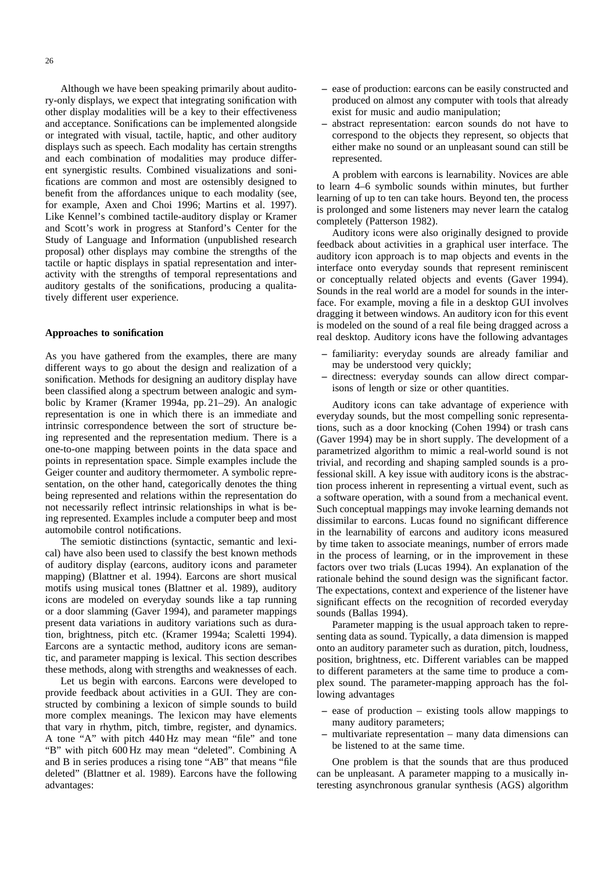Although we have been speaking primarily about auditory-only displays, we expect that integrating sonification with other display modalities will be a key to their effectiveness and acceptance. Sonifications can be implemented alongside or integrated with visual, tactile, haptic, and other auditory displays such as speech. Each modality has certain strengths and each combination of modalities may produce different synergistic results. Combined visualizations and sonifications are common and most are ostensibly designed to benefit from the affordances unique to each modality (see, for example, Axen and Choi 1996; Martins et al. 1997). Like Kennel's combined tactile-auditory display or Kramer and Scott's work in progress at Stanford's Center for the Study of Language and Information (unpublished research proposal) other displays may combine the strengths of the tactile or haptic displays in spatial representation and interactivity with the strengths of temporal representations and auditory gestalts of the sonifications, producing a qualitatively different user experience.

## **Approaches to sonification**

As you have gathered from the examples, there are many different ways to go about the design and realization of a sonification. Methods for designing an auditory display have been classified along a spectrum between analogic and symbolic by Kramer (Kramer 1994a, pp. 21–29). An analogic representation is one in which there is an immediate and intrinsic correspondence between the sort of structure being represented and the representation medium. There is a one-to-one mapping between points in the data space and points in representation space. Simple examples include the Geiger counter and auditory thermometer. A symbolic representation, on the other hand, categorically denotes the thing being represented and relations within the representation do not necessarily reflect intrinsic relationships in what is being represented. Examples include a computer beep and most automobile control notifications.

The semiotic distinctions (syntactic, semantic and lexical) have also been used to classify the best known methods of auditory display (earcons, auditory icons and parameter mapping) (Blattner et al. 1994). Earcons are short musical motifs using musical tones (Blattner et al. 1989), auditory icons are modeled on everyday sounds like a tap running or a door slamming (Gaver 1994), and parameter mappings present data variations in auditory variations such as duration, brightness, pitch etc. (Kramer 1994a; Scaletti 1994). Earcons are a syntactic method, auditory icons are semantic, and parameter mapping is lexical. This section describes these methods, along with strengths and weaknesses of each.

Let us begin with earcons. Earcons were developed to provide feedback about activities in a GUI. They are constructed by combining a lexicon of simple sounds to build more complex meanings. The lexicon may have elements that vary in rhythm, pitch, timbre, register, and dynamics. A tone "A" with pitch 440 Hz may mean "file" and tone "B" with pitch 600 Hz may mean "deleted". Combining A and B in series produces a rising tone "AB" that means "file deleted" (Blattner et al. 1989). Earcons have the following advantages:

- **–** ease of production: earcons can be easily constructed and produced on almost any computer with tools that already exist for music and audio manipulation;
- **–** abstract representation: earcon sounds do not have to correspond to the objects they represent, so objects that either make no sound or an unpleasant sound can still be represented.

A problem with earcons is learnability. Novices are able to learn 4–6 symbolic sounds within minutes, but further learning of up to ten can take hours. Beyond ten, the process is prolonged and some listeners may never learn the catalog completely (Patterson 1982).

Auditory icons were also originally designed to provide feedback about activities in a graphical user interface. The auditory icon approach is to map objects and events in the interface onto everyday sounds that represent reminiscent or conceptually related objects and events (Gaver 1994). Sounds in the real world are a model for sounds in the interface. For example, moving a file in a desktop GUI involves dragging it between windows. An auditory icon for this event is modeled on the sound of a real file being dragged across a real desktop. Auditory icons have the following advantages

- **–** familiarity: everyday sounds are already familiar and may be understood very quickly;
- **–** directness: everyday sounds can allow direct comparisons of length or size or other quantities.

Auditory icons can take advantage of experience with everyday sounds, but the most compelling sonic representations, such as a door knocking (Cohen 1994) or trash cans (Gaver 1994) may be in short supply. The development of a parametrized algorithm to mimic a real-world sound is not trivial, and recording and shaping sampled sounds is a professional skill. A key issue with auditory icons is the abstraction process inherent in representing a virtual event, such as a software operation, with a sound from a mechanical event. Such conceptual mappings may invoke learning demands not dissimilar to earcons. Lucas found no significant difference in the learnability of earcons and auditory icons measured by time taken to associate meanings, number of errors made in the process of learning, or in the improvement in these factors over two trials (Lucas 1994). An explanation of the rationale behind the sound design was the significant factor. The expectations, context and experience of the listener have significant effects on the recognition of recorded everyday sounds (Ballas 1994).

Parameter mapping is the usual approach taken to representing data as sound. Typically, a data dimension is mapped onto an auditory parameter such as duration, pitch, loudness, position, brightness, etc. Different variables can be mapped to different parameters at the same time to produce a complex sound. The parameter-mapping approach has the following advantages

- **–** ease of production existing tools allow mappings to many auditory parameters;
- **–** multivariate representation many data dimensions can be listened to at the same time.

One problem is that the sounds that are thus produced can be unpleasant. A parameter mapping to a musically interesting asynchronous granular synthesis (AGS) algorithm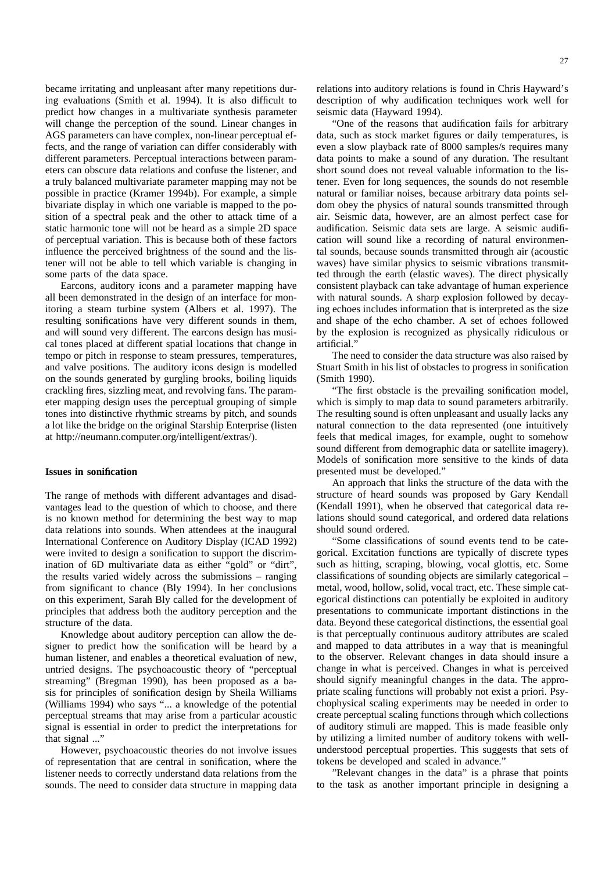became irritating and unpleasant after many repetitions during evaluations (Smith et al. 1994). It is also difficult to predict how changes in a multivariate synthesis parameter will change the perception of the sound. Linear changes in AGS parameters can have complex, non-linear perceptual effects, and the range of variation can differ considerably with different parameters. Perceptual interactions between parameters can obscure data relations and confuse the listener, and a truly balanced multivariate parameter mapping may not be possible in practice (Kramer 1994b). For example, a simple bivariate display in which one variable is mapped to the position of a spectral peak and the other to attack time of a static harmonic tone will not be heard as a simple 2D space of perceptual variation. This is because both of these factors influence the perceived brightness of the sound and the listener will not be able to tell which variable is changing in some parts of the data space.

Earcons, auditory icons and a parameter mapping have all been demonstrated in the design of an interface for monitoring a steam turbine system (Albers et al. 1997). The resulting sonifications have very different sounds in them, and will sound very different. The earcons design has musical tones placed at different spatial locations that change in tempo or pitch in response to steam pressures, temperatures, and valve positions. The auditory icons design is modelled on the sounds generated by gurgling brooks, boiling liquids crackling fires, sizzling meat, and revolving fans. The parameter mapping design uses the perceptual grouping of simple tones into distinctive rhythmic streams by pitch, and sounds a lot like the bridge on the original Starship Enterprise (listen at http://neumann.computer.org/intelligent/extras/).

#### **Issues in sonification**

The range of methods with different advantages and disadvantages lead to the question of which to choose, and there is no known method for determining the best way to map data relations into sounds. When attendees at the inaugural International Conference on Auditory Display (ICAD 1992) were invited to design a sonification to support the discrimination of 6D multivariate data as either "gold" or "dirt", the results varied widely across the submissions – ranging from significant to chance (Bly 1994). In her conclusions on this experiment, Sarah Bly called for the development of principles that address both the auditory perception and the structure of the data.

Knowledge about auditory perception can allow the designer to predict how the sonification will be heard by a human listener, and enables a theoretical evaluation of new, untried designs. The psychoacoustic theory of "perceptual streaming" (Bregman 1990), has been proposed as a basis for principles of sonification design by Sheila Williams (Williams 1994) who says "... a knowledge of the potential perceptual streams that may arise from a particular acoustic signal is essential in order to predict the interpretations for that signal ..."

However, psychoacoustic theories do not involve issues of representation that are central in sonification, where the listener needs to correctly understand data relations from the sounds. The need to consider data structure in mapping data relations into auditory relations is found in Chris Hayward's description of why audification techniques work well for seismic data (Hayward 1994).

"One of the reasons that audification fails for arbitrary data, such as stock market figures or daily temperatures, is even a slow playback rate of 8000 samples/s requires many data points to make a sound of any duration. The resultant short sound does not reveal valuable information to the listener. Even for long sequences, the sounds do not resemble natural or familiar noises, because arbitrary data points seldom obey the physics of natural sounds transmitted through air. Seismic data, however, are an almost perfect case for audification. Seismic data sets are large. A seismic audification will sound like a recording of natural environmental sounds, because sounds transmitted through air (acoustic waves) have similar physics to seismic vibrations transmitted through the earth (elastic waves). The direct physically consistent playback can take advantage of human experience with natural sounds. A sharp explosion followed by decaying echoes includes information that is interpreted as the size and shape of the echo chamber. A set of echoes followed by the explosion is recognized as physically ridiculous or artificial."

The need to consider the data structure was also raised by Stuart Smith in his list of obstacles to progress in sonification (Smith 1990).

"The first obstacle is the prevailing sonification model, which is simply to map data to sound parameters arbitrarily. The resulting sound is often unpleasant and usually lacks any natural connection to the data represented (one intuitively feels that medical images, for example, ought to somehow sound different from demographic data or satellite imagery). Models of sonification more sensitive to the kinds of data presented must be developed."

An approach that links the structure of the data with the structure of heard sounds was proposed by Gary Kendall (Kendall 1991), when he observed that categorical data relations should sound categorical, and ordered data relations should sound ordered.

"Some classifications of sound events tend to be categorical. Excitation functions are typically of discrete types such as hitting, scraping, blowing, vocal glottis, etc. Some classifications of sounding objects are similarly categorical – metal, wood, hollow, solid, vocal tract, etc. These simple categorical distinctions can potentially be exploited in auditory presentations to communicate important distinctions in the data. Beyond these categorical distinctions, the essential goal is that perceptually continuous auditory attributes are scaled and mapped to data attributes in a way that is meaningful to the observer. Relevant changes in data should insure a change in what is perceived. Changes in what is perceived should signify meaningful changes in the data. The appropriate scaling functions will probably not exist a priori. Psychophysical scaling experiments may be needed in order to create perceptual scaling functions through which collections of auditory stimuli are mapped. This is made feasible only by utilizing a limited number of auditory tokens with wellunderstood perceptual properties. This suggests that sets of tokens be developed and scaled in advance."

"Relevant changes in the data" is a phrase that points to the task as another important principle in designing a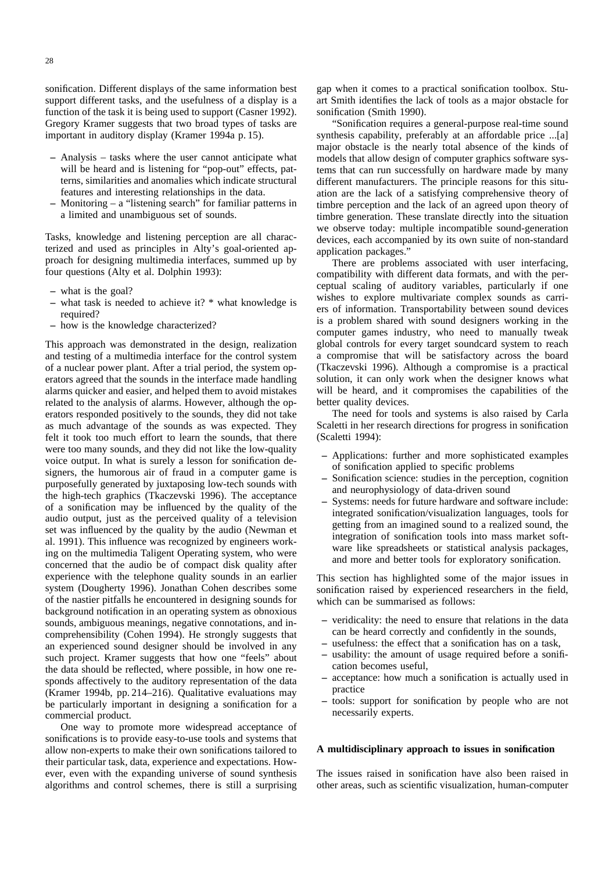sonification. Different displays of the same information best support different tasks, and the usefulness of a display is a function of the task it is being used to support (Casner 1992). Gregory Kramer suggests that two broad types of tasks are important in auditory display (Kramer 1994a p. 15).

- **–** Analysis tasks where the user cannot anticipate what will be heard and is listening for "pop-out" effects, patterns, similarities and anomalies which indicate structural features and interesting relationships in the data.
- **–** Monitoring a "listening search" for familiar patterns in a limited and unambiguous set of sounds.

Tasks, knowledge and listening perception are all characterized and used as principles in Alty's goal-oriented approach for designing multimedia interfaces, summed up by four questions (Alty et al. Dolphin 1993):

- **–** what is the goal?
- **–** what task is needed to achieve it? \* what knowledge is required?
- **–** how is the knowledge characterized?

This approach was demonstrated in the design, realization and testing of a multimedia interface for the control system of a nuclear power plant. After a trial period, the system operators agreed that the sounds in the interface made handling alarms quicker and easier, and helped them to avoid mistakes related to the analysis of alarms. However, although the operators responded positively to the sounds, they did not take as much advantage of the sounds as was expected. They felt it took too much effort to learn the sounds, that there were too many sounds, and they did not like the low-quality voice output. In what is surely a lesson for sonification designers, the humorous air of fraud in a computer game is purposefully generated by juxtaposing low-tech sounds with the high-tech graphics (Tkaczevski 1996). The acceptance of a sonification may be influenced by the quality of the audio output, just as the perceived quality of a television set was influenced by the quality by the audio (Newman et al. 1991). This influence was recognized by engineers working on the multimedia Taligent Operating system, who were concerned that the audio be of compact disk quality after experience with the telephone quality sounds in an earlier system (Dougherty 1996). Jonathan Cohen describes some of the nastier pitfalls he encountered in designing sounds for background notification in an operating system as obnoxious sounds, ambiguous meanings, negative connotations, and incomprehensibility (Cohen 1994). He strongly suggests that an experienced sound designer should be involved in any such project. Kramer suggests that how one "feels" about the data should be reflected, where possible, in how one responds affectively to the auditory representation of the data (Kramer 1994b, pp. 214–216). Qualitative evaluations may be particularly important in designing a sonification for a commercial product.

One way to promote more widespread acceptance of sonifications is to provide easy-to-use tools and systems that allow non-experts to make their own sonifications tailored to their particular task, data, experience and expectations. However, even with the expanding universe of sound synthesis algorithms and control schemes, there is still a surprising gap when it comes to a practical sonification toolbox. Stuart Smith identifies the lack of tools as a major obstacle for sonification (Smith 1990).

"Sonification requires a general-purpose real-time sound synthesis capability, preferably at an affordable price ...[a] major obstacle is the nearly total absence of the kinds of models that allow design of computer graphics software systems that can run successfully on hardware made by many different manufacturers. The principle reasons for this situation are the lack of a satisfying comprehensive theory of timbre perception and the lack of an agreed upon theory of timbre generation. These translate directly into the situation we observe today: multiple incompatible sound-generation devices, each accompanied by its own suite of non-standard application packages."

There are problems associated with user interfacing, compatibility with different data formats, and with the perceptual scaling of auditory variables, particularly if one wishes to explore multivariate complex sounds as carriers of information. Transportability between sound devices is a problem shared with sound designers working in the computer games industry, who need to manually tweak global controls for every target soundcard system to reach a compromise that will be satisfactory across the board (Tkaczevski 1996). Although a compromise is a practical solution, it can only work when the designer knows what will be heard, and it compromises the capabilities of the better quality devices.

The need for tools and systems is also raised by Carla Scaletti in her research directions for progress in sonification (Scaletti 1994):

- **–** Applications: further and more sophisticated examples of sonification applied to specific problems
- **–** Sonification science: studies in the perception, cognition and neurophysiology of data-driven sound
- **–** Systems: needs for future hardware and software include: integrated sonification/visualization languages, tools for getting from an imagined sound to a realized sound, the integration of sonification tools into mass market software like spreadsheets or statistical analysis packages, and more and better tools for exploratory sonification.

This section has highlighted some of the major issues in sonification raised by experienced researchers in the field, which can be summarised as follows:

- **–** veridicality: the need to ensure that relations in the data can be heard correctly and confidently in the sounds,
- **–** usefulness: the effect that a sonification has on a task,
- **–** usability: the amount of usage required before a sonification becomes useful,
- **–** acceptance: how much a sonification is actually used in practice
- **–** tools: support for sonification by people who are not necessarily experts.

## **A multidisciplinary approach to issues in sonification**

The issues raised in sonification have also been raised in other areas, such as scientific visualization, human-computer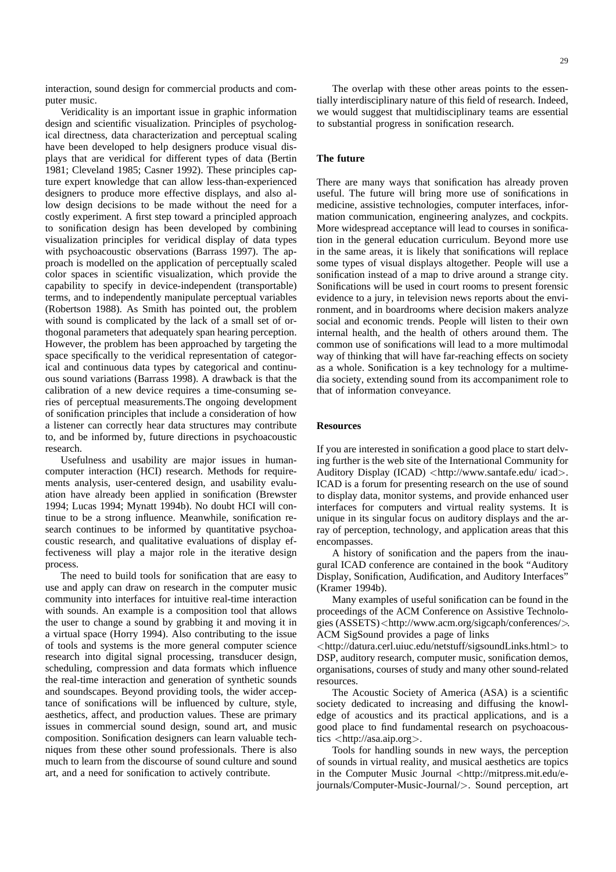interaction, sound design for commercial products and computer music.

Veridicality is an important issue in graphic information design and scientific visualization. Principles of psychological directness, data characterization and perceptual scaling have been developed to help designers produce visual displays that are veridical for different types of data (Bertin 1981; Cleveland 1985; Casner 1992). These principles capture expert knowledge that can allow less-than-experienced designers to produce more effective displays, and also allow design decisions to be made without the need for a costly experiment. A first step toward a principled approach to sonification design has been developed by combining visualization principles for veridical display of data types with psychoacoustic observations (Barrass 1997). The approach is modelled on the application of perceptually scaled color spaces in scientific visualization, which provide the capability to specify in device-independent (transportable) terms, and to independently manipulate perceptual variables (Robertson 1988). As Smith has pointed out, the problem with sound is complicated by the lack of a small set of orthogonal parameters that adequately span hearing perception. However, the problem has been approached by targeting the space specifically to the veridical representation of categorical and continuous data types by categorical and continuous sound variations (Barrass 1998). A drawback is that the calibration of a new device requires a time-consuming series of perceptual measurements.The ongoing development of sonification principles that include a consideration of how a listener can correctly hear data structures may contribute to, and be informed by, future directions in psychoacoustic research.

Usefulness and usability are major issues in humancomputer interaction (HCI) research. Methods for requirements analysis, user-centered design, and usability evaluation have already been applied in sonification (Brewster 1994; Lucas 1994; Mynatt 1994b). No doubt HCI will continue to be a strong influence. Meanwhile, sonification research continues to be informed by quantitative psychoacoustic research, and qualitative evaluations of display effectiveness will play a major role in the iterative design process.

The need to build tools for sonification that are easy to use and apply can draw on research in the computer music community into interfaces for intuitive real-time interaction with sounds. An example is a composition tool that allows the user to change a sound by grabbing it and moving it in a virtual space (Horry 1994). Also contributing to the issue of tools and systems is the more general computer science research into digital signal processing, transducer design, scheduling, compression and data formats which influence the real-time interaction and generation of synthetic sounds and soundscapes. Beyond providing tools, the wider acceptance of sonifications will be influenced by culture, style, aesthetics, affect, and production values. These are primary issues in commercial sound design, sound art, and music composition. Sonification designers can learn valuable techniques from these other sound professionals. There is also much to learn from the discourse of sound culture and sound art, and a need for sonification to actively contribute.

The overlap with these other areas points to the essentially interdisciplinary nature of this field of research. Indeed, we would suggest that multidisciplinary teams are essential to substantial progress in sonification research.

## **The future**

There are many ways that sonification has already proven useful. The future will bring more use of sonifications in medicine, assistive technologies, computer interfaces, information communication, engineering analyzes, and cockpits. More widespread acceptance will lead to courses in sonification in the general education curriculum. Beyond more use in the same areas, it is likely that sonifications will replace some types of visual displays altogether. People will use a sonification instead of a map to drive around a strange city. Sonifications will be used in court rooms to present forensic evidence to a jury, in television news reports about the environment, and in boardrooms where decision makers analyze social and economic trends. People will listen to their own internal health, and the health of others around them. The common use of sonifications will lead to a more multimodal way of thinking that will have far-reaching effects on society as a whole. Sonification is a key technology for a multimedia society, extending sound from its accompaniment role to that of information conveyance.

#### **Resources**

If you are interested in sonification a good place to start delving further is the web site of the International Community for Auditory Display (ICAD) <http://www.santafe.edu/ icad>. ICAD is a forum for presenting research on the use of sound to display data, monitor systems, and provide enhanced user interfaces for computers and virtual reality systems. It is unique in its singular focus on auditory displays and the array of perception, technology, and application areas that this encompasses.

A history of sonification and the papers from the inaugural ICAD conference are contained in the book "Auditory Display, Sonification, Audification, and Auditory Interfaces" (Kramer 1994b).

Many examples of useful sonification can be found in the proceedings of the ACM Conference on Assistive Technologies (ASSETS)<http://www.acm.org/sigcaph/conferences/>. ACM SigSound provides a page of links

<http://datura.cerl.uiuc.edu/netstuff/sigsoundLinks.html> to DSP, auditory research, computer music, sonification demos, organisations, courses of study and many other sound-related resources.

The Acoustic Society of America (ASA) is a scientific society dedicated to increasing and diffusing the knowledge of acoustics and its practical applications, and is a good place to find fundamental research on psychoacoustics <http://asa.aip.org>.

Tools for handling sounds in new ways, the perception of sounds in virtual reality, and musical aesthetics are topics in the Computer Music Journal <http://mitpress.mit.edu/ejournals/Computer-Music-Journal/>. Sound perception, art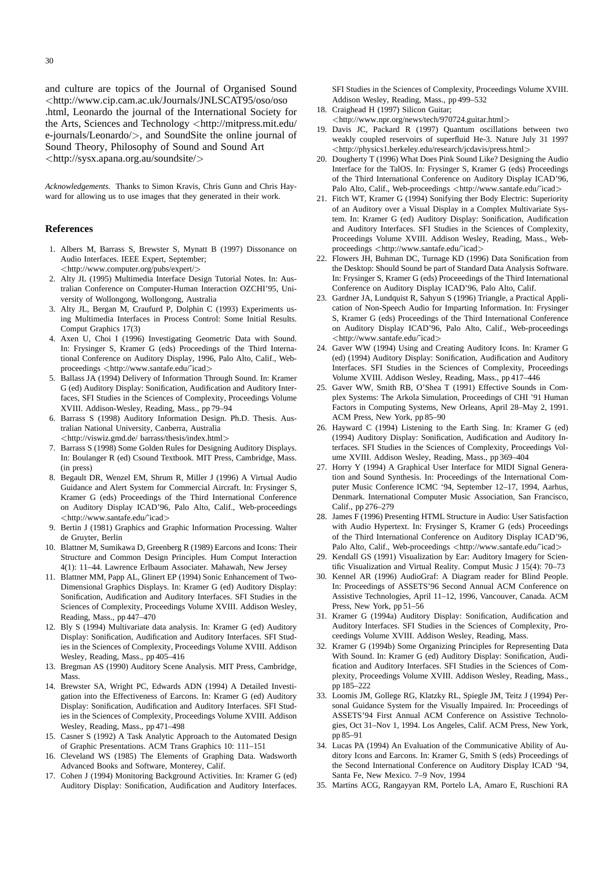and culture are topics of the Journal of Organised Sound <http://www.cip.cam.ac.uk/Journals/JNLSCAT95/oso/oso .html, Leonardo the journal of the International Society for the Arts, Sciences and Technology <http://mitpress.mit.edu/ e-journals/Leonardo/>, and SoundSite the online journal of Sound Theory, Philosophy of Sound and Sound Art <http://sysx.apana.org.au/soundsite/>

*Acknowledgements.* Thanks to Simon Kravis, Chris Gunn and Chris Hayward for allowing us to use images that they generated in their work.

## **References**

- 1. Albers M, Barrass S, Brewster S, Mynatt B (1997) Dissonance on Audio Interfaces. IEEE Expert, September;
- <http://www.computer.org/pubs/expert/> 2. Alty JL (1995) Multimedia Interface Design Tutorial Notes. In: Australian Conference on Computer-Human Interaction OZCHI'95, University of Wollongong, Wollongong, Australia
- 3. Alty JL, Bergan M, Craufurd P, Dolphin C (1993) Experiments using Multimedia Interfaces in Process Control: Some Initial Results. Comput Graphics 17(3)
- 4. Axen U, Choi I (1996) Investigating Geometric Data with Sound. In: Frysinger S, Kramer G (eds) Proceedings of the Third International Conference on Auditory Display, 1996, Palo Alto, Calif., Webproceedings <http://www.santafe.edu/~icad>
- 5. Ballass JA (1994) Delivery of Information Through Sound. In: Kramer G (ed) Auditory Display: Sonification, Audification and Auditory Interfaces, SFI Studies in the Sciences of Complexity, Proceedings Volume XVIII. Addison-Wesley, Reading, Mass., pp 79–94
- 6. Barrass S (1998) Auditory Information Design. Ph.D. Thesis. Australian National University, Canberra, Australia <http://viswiz.gmd.de/ barrass/thesis/index.html>
- 7. Barrass S (1998) Some Golden Rules for Designing Auditory Displays. In: Boulanger R (ed) Csound Textbook. MIT Press, Cambridge, Mass. (in press)
- 8. Begault DR, Wenzel EM, Shrum R, Miller J (1996) A Virtual Audio Guidance and Alert System for Commercial Aircraft. In: Frysinger S, Kramer G (eds) Proceedings of the Third International Conference on Auditory Display ICAD'96, Palo Alto, Calif., Web-proceedings <http://www.santafe.edu/˜icad>
- 9. Bertin J (1981) Graphics and Graphic Information Processing. Walter de Gruyter, Berlin
- 10. Blattner M, Sumikawa D, Greenberg R (1989) Earcons and Icons: Their Structure and Common Design Principles. Hum Comput Interaction 4(1): 11–44. Lawrence Erlbaum Associater. Mahawah, New Jersey
- 11. Blattner MM, Papp AL, Glinert EP (1994) Sonic Enhancement of Two-Dimensional Graphics Displays. In: Kramer G (ed) Auditory Display: Sonification, Audification and Auditory Interfaces. SFI Studies in the Sciences of Complexity, Proceedings Volume XVIII. Addison Wesley, Reading, Mass., pp 447–470
- 12. Bly S (1994) Multivariate data analysis. In: Kramer G (ed) Auditory Display: Sonification, Audification and Auditory Interfaces. SFI Studies in the Sciences of Complexity, Proceedings Volume XVIII. Addison Wesley, Reading, Mass., pp 405–416
- 13. Bregman AS (1990) Auditory Scene Analysis. MIT Press, Cambridge, Mass.
- 14. Brewster SA, Wright PC, Edwards ADN (1994) A Detailed Investigation into the Effectiveness of Earcons. In: Kramer G (ed) Auditory Display: Sonification, Audification and Auditory Interfaces. SFI Studies in the Sciences of Complexity, Proceedings Volume XVIII. Addison Wesley, Reading, Mass., pp 471–498
- 15. Casner S (1992) A Task Analytic Approach to the Automated Design of Graphic Presentations. ACM Trans Graphics 10: 111–151
- 16. Cleveland WS (1985) The Elements of Graphing Data. Wadsworth Advanced Books and Software, Monterey, Calif.
- 17. Cohen J (1994) Monitoring Background Activities. In: Kramer G (ed) Auditory Display: Sonification, Audification and Auditory Interfaces.

SFI Studies in the Sciences of Complexity, Proceedings Volume XVIII. Addison Wesley, Reading, Mass., pp 499–532

- 18. Craighead H (1997) Silicon Guitar; <http://www.npr.org/news/tech/970724.guitar.html>
- 19. Davis JC, Packard R (1997) Quantum oscillations between two weakly coupled reservoirs of superfluid He-3. Nature July 31 1997 <http://physics1.berkeley.edu/research/jcdavis/press.html>
- 20. Dougherty T (1996) What Does Pink Sound Like? Designing the Audio Interface for the TalOS. In: Frysinger S, Kramer G (eds) Proceedings of the Third International Conference on Auditory Display ICAD'96, Palo Alto, Calif., Web-proceedings <http://www.santafe.edu/~icad>
- 21. Fitch WT, Kramer G (1994) Sonifying ther Body Electric: Superiority of an Auditory over a Visual Display in a Complex Multivariate System. In: Kramer G (ed) Auditory Display: Sonification, Audification and Auditory Interfaces. SFI Studies in the Sciences of Complexity, Proceedings Volume XVIII. Addison Wesley, Reading, Mass., Webproceedings <http://www.santafe.edu/˜icad>
- 22. Flowers JH, Buhman DC, Turnage KD (1996) Data Sonification from the Desktop: Should Sound be part of Standard Data Analysis Software. In: Frysinger S, Kramer G (eds) Proceeedings of the Third International Conference on Auditory Display ICAD'96, Palo Alto, Calif.
- 23. Gardner JA, Lundquist R, Sahyun S (1996) Triangle, a Practical Application of Non-Speech Audio for Imparting Information. In: Frysinger S, Kramer G (eds) Proceedings of the Third International Conference on Auditory Display ICAD'96, Palo Alto, Calif., Web-proceedings <http://www.santafe.edu/˜icad>
- 24. Gaver WW (1994) Using and Creating Auditory Icons. In: Kramer G (ed) (1994) Auditory Display: Sonification, Audification and Auditory Interfaces. SFI Studies in the Sciences of Complexity, Proceedings Volume XVIII. Addison Wesley, Reading, Mass., pp 417–446
- 25. Gaver WW, Smith RB, O'Shea T (1991) Effective Sounds in Complex Systems: The Arkola Simulation, Proceedings of CHI '91 Human Factors in Computing Systems, New Orleans, April 28–May 2, 1991. ACM Press, New York, pp 85–90
- 26. Hayward C (1994) Listening to the Earth Sing. In: Kramer G (ed) (1994) Auditory Display: Sonification, Audification and Auditory Interfaces. SFI Studies in the Sciences of Complexity, Proceedings Volume XVIII. Addison Wesley, Reading, Mass., pp 369–404
- 27. Horry Y (1994) A Graphical User Interface for MIDI Signal Generation and Sound Synthesis. In: Proceedings of the International Computer Music Conference ICMC '94, September 12–17, 1994, Aarhus, Denmark. International Computer Music Association, San Francisco, Calif., pp 276–279
- 28. James F (1996) Presenting HTML Structure in Audio: User Satisfaction with Audio Hypertext. In: Frysinger S, Kramer G (eds) Proceedings of the Third International Conference on Auditory Display ICAD'96, Palo Alto, Calif., Web-proceedings <http://www.santafe.edu/~icad>
- 29. Kendall GS (1991) Visualization by Ear: Auditory Imagery for Scientific Visualization and Virtual Reality. Comput Music J 15(4): 70–73
- 30. Kennel AR (1996) AudioGraf: A Diagram reader for Blind People. In: Proceedings of ASSETS'96 Second Annual ACM Conference on Assistive Technologies, April 11–12, 1996, Vancouver, Canada. ACM Press, New York, pp 51–56
- 31. Kramer G (1994a) Auditory Display: Sonification, Audification and Auditory Interfaces. SFI Studies in the Sciences of Complexity, Proceedings Volume XVIII. Addison Wesley, Reading, Mass.
- 32. Kramer G (1994b) Some Organizing Principles for Representing Data With Sound. In: Kramer G (ed) Auditory Display: Sonification, Audification and Auditory Interfaces. SFI Studies in the Sciences of Complexity, Proceedings Volume XVIII. Addison Wesley, Reading, Mass., pp 185–222
- 33. Loomis JM, Gollege RG, Klatzky RL, Spiegle JM, Teitz J (1994) Personal Guidance System for the Visually Impaired. In: Proceedings of ASSETS'94 First Annual ACM Conference on Assistive Technologies, Oct 31–Nov 1, 1994. Los Angeles, Calif. ACM Press, New York, pp 85–91
- 34. Lucas PA (1994) An Evaluation of the Communicative Ability of Auditory Icons and Earcons. In: Kramer G, Smith S (eds) Proceedings of the Second International Conference on Auditory Display ICAD '94, Santa Fe, New Mexico. 7–9 Nov, 1994
- 35. Martins ACG, Rangayyan RM, Portelo LA, Amaro E, Ruschioni RA